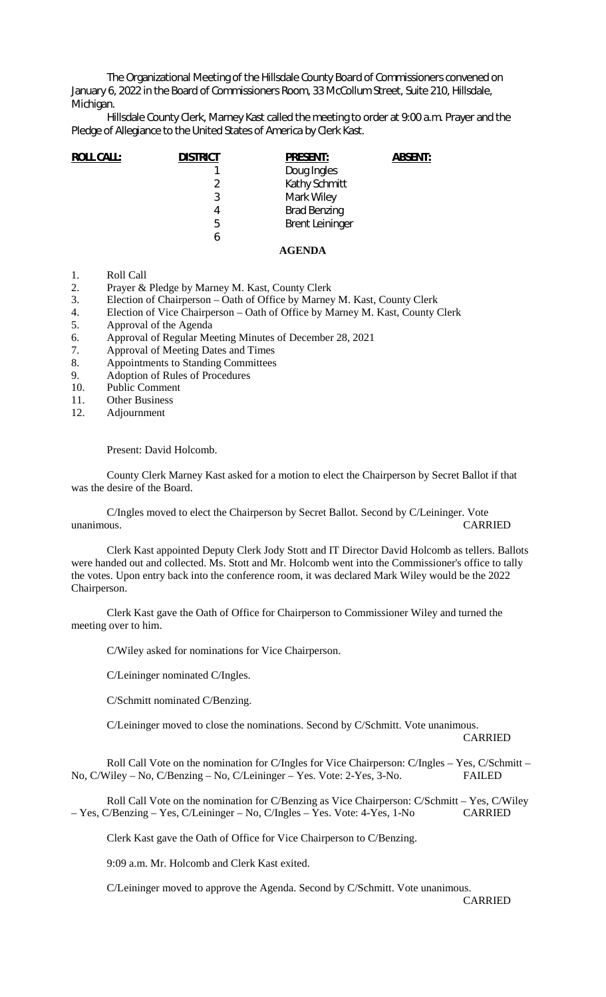The Organizational Meeting of the Hillsdale County Board of Commissioners convened on January 6, 2022 in the Board of Commissioners Room, 33 McCollum Street, Suite 210, Hillsdale, Michigan.

Hillsdale County Clerk, Marney Kast called the meeting to order at 9:00 a.m. Prayer and the Pledge of Allegiance to the United States of America by Clerk Kast.

| <b>ROLL CALL:</b> | <b>DISTRICT</b> | <b>PRESENT:</b>        | <b>ABSENT:</b> |
|-------------------|-----------------|------------------------|----------------|
|                   |                 | Doug Ingles            |                |
|                   | 2               | Kathy Schmitt          |                |
|                   | 3               | Mark Wiley             |                |
|                   | 4               | <b>Brad Benzing</b>    |                |
|                   | 5               | <b>Brent Leininger</b> |                |
|                   | 6               |                        |                |
|                   |                 | AGENDA                 |                |

- 1. Roll Call
- 2. Prayer & Pledge by Marney M. Kast, County Clerk
- 3. Election of Chairperson Oath of Office by Marney M. Kast, County Clerk
- 4. Election of Vice Chairperson Oath of Office by Marney M. Kast, County Clerk
- 5. Approval of the Agenda
- 6. Approval of Regular Meeting Minutes of December 28, 2021
- 7. Approval of Meeting Dates and Times
- 8. Appointments to Standing Committees
- 9. Adoption of Rules of Procedures
- 10. Public Comment
- 11. Other Business<br>12. Adiournment
- **Adjournment**

Present: David Holcomb.

County Clerk Marney Kast asked for a motion to elect the Chairperson by Secret Ballot if that was the desire of the Board.

C/Ingles moved to elect the Chairperson by Secret Ballot. Second by C/Leininger. Vote unanimous. CARRIED

Clerk Kast appointed Deputy Clerk Jody Stott and IT Director David Holcomb as tellers. Ballots were handed out and collected. Ms. Stott and Mr. Holcomb went into the Commissioner's office to tally the votes. Upon entry back into the conference room, it was declared Mark Wiley would be the 2022 Chairperson.

Clerk Kast gave the Oath of Office for Chairperson to Commissioner Wiley and turned the meeting over to him.

C/Wiley asked for nominations for Vice Chairperson.

C/Leininger nominated C/Ingles.

C/Schmitt nominated C/Benzing.

C/Leininger moved to close the nominations. Second by C/Schmitt. Vote unanimous. CARRIED

Roll Call Vote on the nomination for C/Ingles for Vice Chairperson: C/Ingles – Yes, C/Schmitt – No, C/Wiley – No, C/Benzing – No, C/Leininger – Yes. Vote: 2-Yes, 3-No. FAILED

Roll Call Vote on the nomination for C/Benzing as Vice Chairperson: C/Schmitt – Yes, C/Wiley – Yes, C/Benzing – Yes, C/Leininger – No, C/Ingles – Yes. Vote: 4-Yes, 1-No CARRIED

Clerk Kast gave the Oath of Office for Vice Chairperson to C/Benzing.

9:09 a.m. Mr. Holcomb and Clerk Kast exited.

C/Leininger moved to approve the Agenda. Second by C/Schmitt. Vote unanimous.

CARRIED